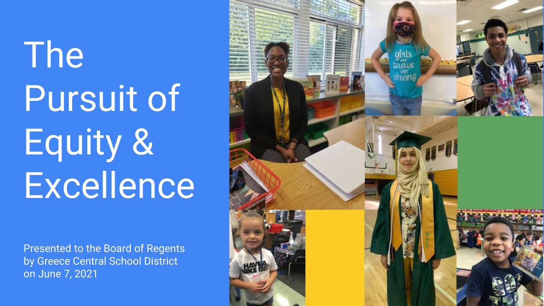# The Pursuit of Equity & Excellence

Presented to the Board of Regents by Greece Central School District on June 7, 2021

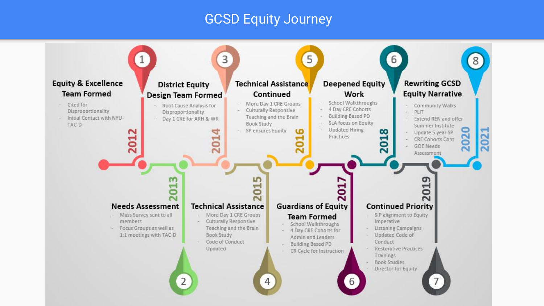#### GCSD Equity Journey

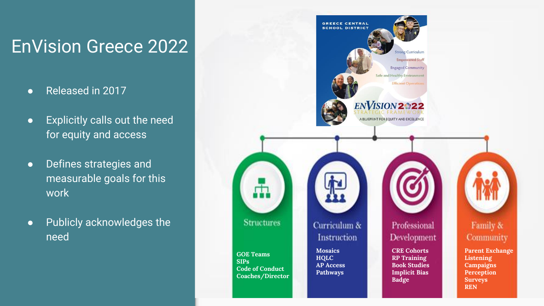## EnVision Greece 2022

- Released in 2017
- Explicitly calls out the need for equity and access
- Defines strategies and measurable goals for this work
- Publicly acknowledges the need

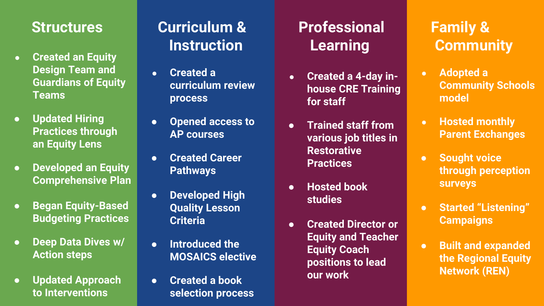#### **Structures**

- **Created an Equity Design Team and Guardians of Equity Teams**
- an Equity Lens ● **Updated Hiring Practices through an Equity Lens**
- **Developed an Equity Comprehensive Plan**
- **Began Equity-Based Budgeting Practices**
- **Deep Data Dives w/ Action steps**
- **Updated Approach to Interventions**

### **Curriculum & Instruction**

- **Created a curriculum review process**
- **Opened access to AP courses**
- **Created Career Pathways**
- **Developed High Quality Lesson Criteria**
- **Introduced the MOSAICS elective**
- **Created a book selection process**

## **Professional Learning**

- **Created a 4-day inhouse CRE Training for staff**
- **Trained staff from various job titles in Restorative Practices**
- **Hosted book studies**
- **Created Director or Equity and Teacher Equity Coach positions to lead our work**

## **Family & Community**

- **Adopted a Community Schools model**
- **Hosted monthly Parent Exchanges**
- **Sought voice through perception surveys**
- **Started "Listening" Campaigns**
- **Built and expanded the Regional Equity Network (REN)**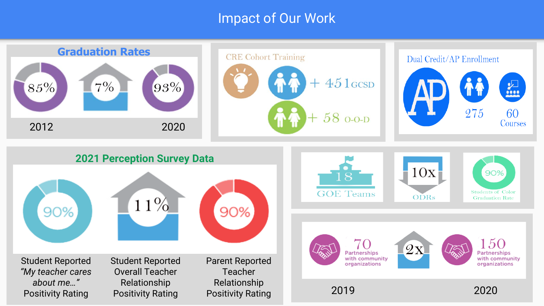#### Impact of Our Work